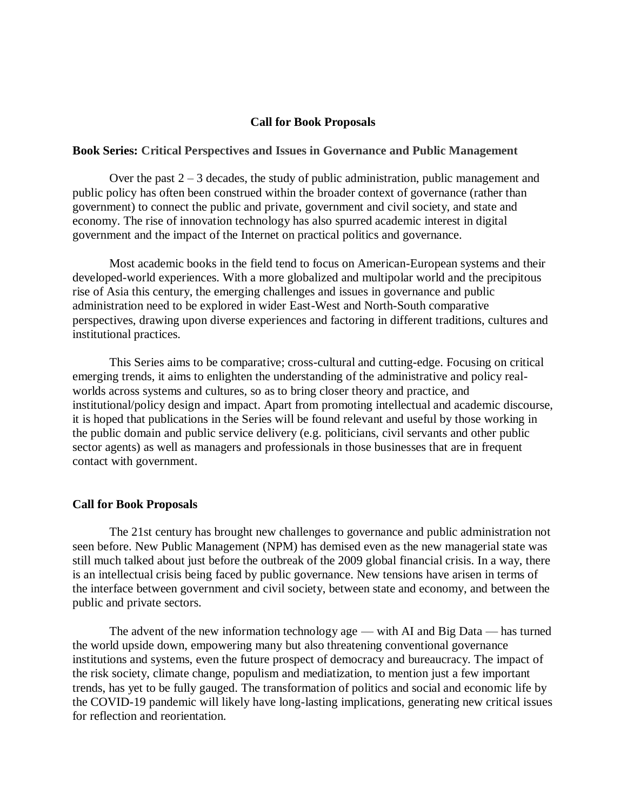#### **Call for Book Proposals**

#### **Book Series: [Critical Perspectives and Issues in Governance and Public Management](about:blank)**

Over the past 2 – 3 decades, the study of public administration, public management and public policy has often been construed within the broader context of governance (rather than government) to connect the public and private, government and civil society, and state and economy. The rise of innovation technology has also spurred academic interest in digital government and the impact of the Internet on practical politics and governance.

Most academic books in the field tend to focus on American-European systems and their developed-world experiences. With a more globalized and multipolar world and the precipitous rise of Asia this century, the emerging challenges and issues in governance and public administration need to be explored in wider East-West and North-South comparative perspectives, drawing upon diverse experiences and factoring in different traditions, cultures and institutional practices.

This Series aims to be comparative; cross-cultural and cutting-edge. Focusing on critical emerging trends, it aims to enlighten the understanding of the administrative and policy realworlds across systems and cultures, so as to bring closer theory and practice, and institutional/policy design and impact. Apart from promoting intellectual and academic discourse, it is hoped that publications in the Series will be found relevant and useful by those working in the public domain and public service delivery (e.g. politicians, civil servants and other public sector agents) as well as managers and professionals in those businesses that are in frequent contact with government.

#### **Call for Book Proposals**

The 21st century has brought new challenges to governance and public administration not seen before. New Public Management (NPM) has demised even as the new managerial state was still much talked about just before the outbreak of the 2009 global financial crisis. In a way, there is an intellectual crisis being faced by public governance. New tensions have arisen in terms of the interface between government and civil society, between state and economy, and between the public and private sectors.

The advent of the new information technology age — with AI and Big Data — has turned the world upside down, empowering many but also threatening conventional governance institutions and systems, even the future prospect of democracy and bureaucracy. The impact of the risk society, climate change, populism and mediatization, to mention just a few important trends, has yet to be fully gauged. The transformation of politics and social and economic life by the COVID-19 pandemic will likely have long-lasting implications, generating new critical issues for reflection and reorientation.